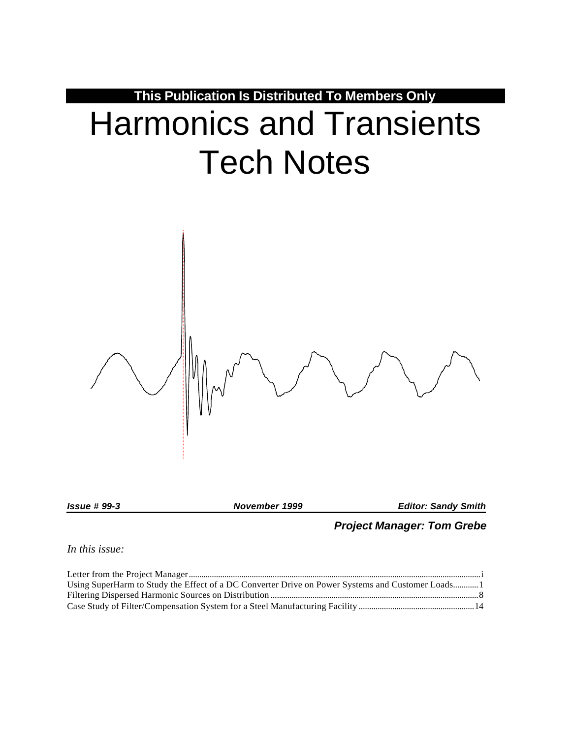

*Issue # 99-3 November 1999 Editor: Sandy Smith*

# *Project Manager: Tom Grebe*

*In this issue:*

| Using SuperHarm to Study the Effect of a DC Converter Drive on Power Systems and Customer Loads1 |  |
|--------------------------------------------------------------------------------------------------|--|
|                                                                                                  |  |
|                                                                                                  |  |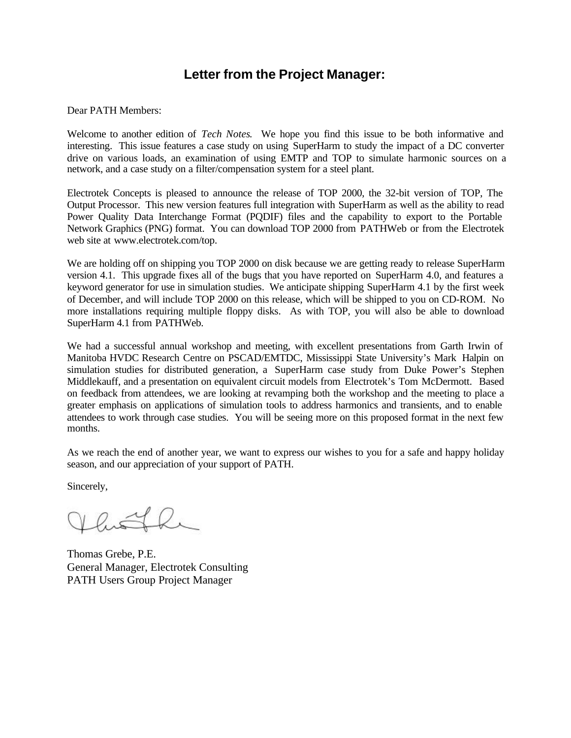# **Letter from the Project Manager:**

### Dear PATH Members:

Welcome to another edition of *Tech Notes*. We hope you find this issue to be both informative and interesting. This issue features a case study on using SuperHarm to study the impact of a DC converter drive on various loads, an examination of using EMTP and TOP to simulate harmonic sources on a network, and a case study on a filter/compensation system for a steel plant.

Electrotek Concepts is pleased to announce the release of TOP 2000, the 32-bit version of TOP, The Output Processor. This new version features full integration with SuperHarm as well as the ability to read Power Quality Data Interchange Format (PQDIF) files and the capability to export to the Portable Network Graphics (PNG) format. You can download TOP 2000 from PATHWeb or from the Electrotek web site at www.electrotek.com/top.

We are holding off on shipping you TOP 2000 on disk because we are getting ready to release SuperHarm version 4.1. This upgrade fixes all of the bugs that you have reported on SuperHarm 4.0, and features a keyword generator for use in simulation studies. We anticipate shipping SuperHarm 4.1 by the first week of December, and will include TOP 2000 on this release, which will be shipped to you on CD-ROM. No more installations requiring multiple floppy disks. As with TOP, you will also be able to download SuperHarm 4.1 from PATHWeb.

We had a successful annual workshop and meeting, with excellent presentations from Garth Irwin of Manitoba HVDC Research Centre on PSCAD/EMTDC, Mississippi State University's Mark Halpin on simulation studies for distributed generation, a SuperHarm case study from Duke Power's Stephen Middlekauff, and a presentation on equivalent circuit models from Electrotek's Tom McDermott. Based on feedback from attendees, we are looking at revamping both the workshop and the meeting to place a greater emphasis on applications of simulation tools to address harmonics and transients, and to enable attendees to work through case studies. You will be seeing more on this proposed format in the next few months.

As we reach the end of another year, we want to express our wishes to you for a safe and happy holiday season, and our appreciation of your support of PATH.

Sincerely,

 $VQ \nightharpoonup$ 

Thomas Grebe, P.E. General Manager, Electrotek Consulting PATH Users Group Project Manager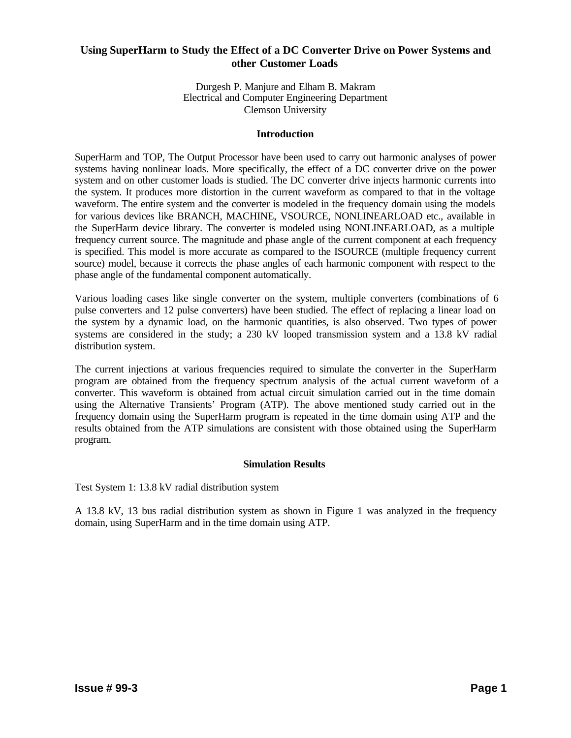# **Using SuperHarm to Study the Effect of a DC Converter Drive on Power Systems and other Customer Loads**

Durgesh P. Manjure and Elham B. Makram Electrical and Computer Engineering Department Clemson University

#### **Introduction**

SuperHarm and TOP, The Output Processor have been used to carry out harmonic analyses of power systems having nonlinear loads. More specifically, the effect of a DC converter drive on the power system and on other customer loads is studied. The DC converter drive injects harmonic currents into the system. It produces more distortion in the current waveform as compared to that in the voltage waveform. The entire system and the converter is modeled in the frequency domain using the models for various devices like BRANCH, MACHINE, VSOURCE, NONLINEARLOAD etc., available in the SuperHarm device library. The converter is modeled using NONLINEARLOAD, as a multiple frequency current source. The magnitude and phase angle of the current component at each frequency is specified. This model is more accurate as compared to the ISOURCE (multiple frequency current source) model, because it corrects the phase angles of each harmonic component with respect to the phase angle of the fundamental component automatically.

Various loading cases like single converter on the system, multiple converters (combinations of 6 pulse converters and 12 pulse converters) have been studied. The effect of replacing a linear load on the system by a dynamic load, on the harmonic quantities, is also observed. Two types of power systems are considered in the study; a 230 kV looped transmission system and a 13.8 kV radial distribution system.

The current injections at various frequencies required to simulate the converter in the SuperHarm program are obtained from the frequency spectrum analysis of the actual current waveform of a converter. This waveform is obtained from actual circuit simulation carried out in the time domain using the Alternative Transients' Program (ATP). The above mentioned study carried out in the frequency domain using the SuperHarm program is repeated in the time domain using ATP and the results obtained from the ATP simulations are consistent with those obtained using the SuperHarm program.

### **Simulation Results**

Test System 1: 13.8 kV radial distribution system

A 13.8 kV, 13 bus radial distribution system as shown in Figure 1 was analyzed in the frequency domain, using SuperHarm and in the time domain using ATP.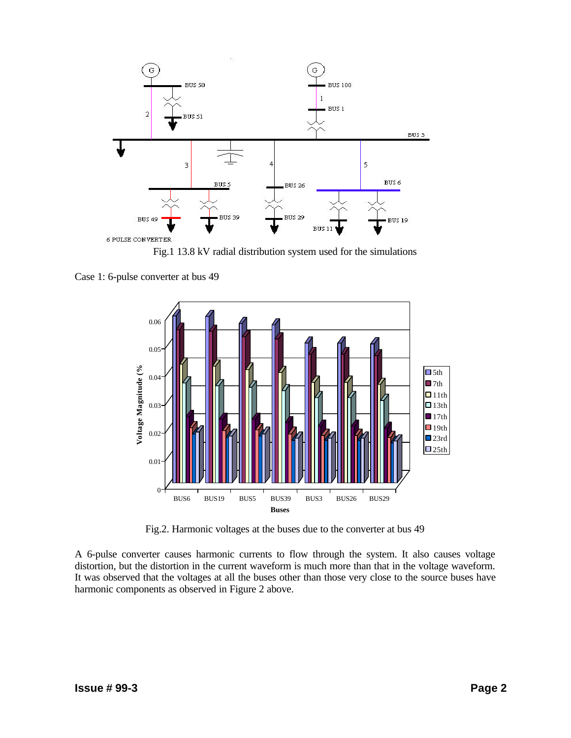

Fig.1 13.8 kV radial distribution system used for the simulations

Case 1: 6-pulse converter at bus 49



Fig.2. Harmonic voltages at the buses due to the converter at bus 49

A 6-pulse converter causes harmonic currents to flow through the system. It also causes voltage distortion, but the distortion in the current waveform is much more than that in the voltage waveform. It was observed that the voltages at all the buses other than those very close to the source buses have harmonic components as observed in Figure 2 above.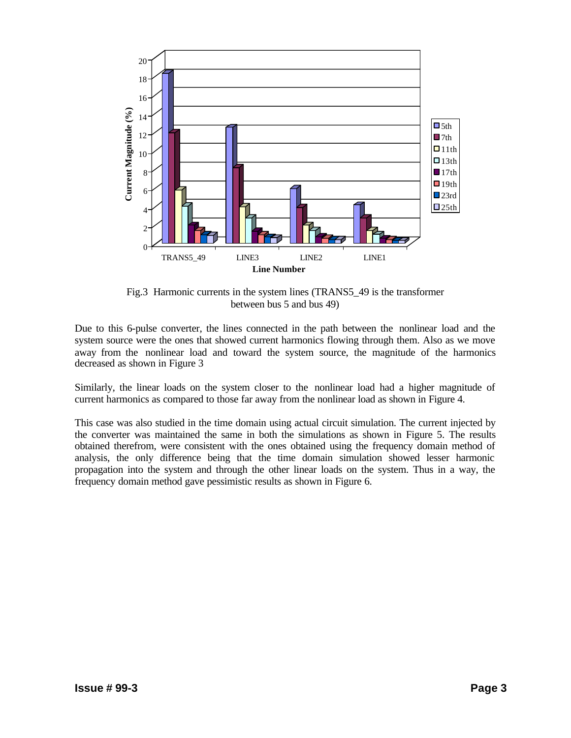

Fig.3 Harmonic currents in the system lines (TRANS5\_49 is the transformer between bus 5 and bus 49)

Due to this 6-pulse converter, the lines connected in the path between the nonlinear load and the system source were the ones that showed current harmonics flowing through them. Also as we move away from the nonlinear load and toward the system source, the magnitude of the harmonics decreased as shown in Figure 3

Similarly, the linear loads on the system closer to the nonlinear load had a higher magnitude of current harmonics as compared to those far away from the nonlinear load as shown in Figure 4.

This case was also studied in the time domain using actual circuit simulation. The current injected by the converter was maintained the same in both the simulations as shown in Figure 5. The results obtained therefrom, were consistent with the ones obtained using the frequency domain method of analysis, the only difference being that the time domain simulation showed lesser harmonic propagation into the system and through the other linear loads on the system. Thus in a way, the frequency domain method gave pessimistic results as shown in Figure 6.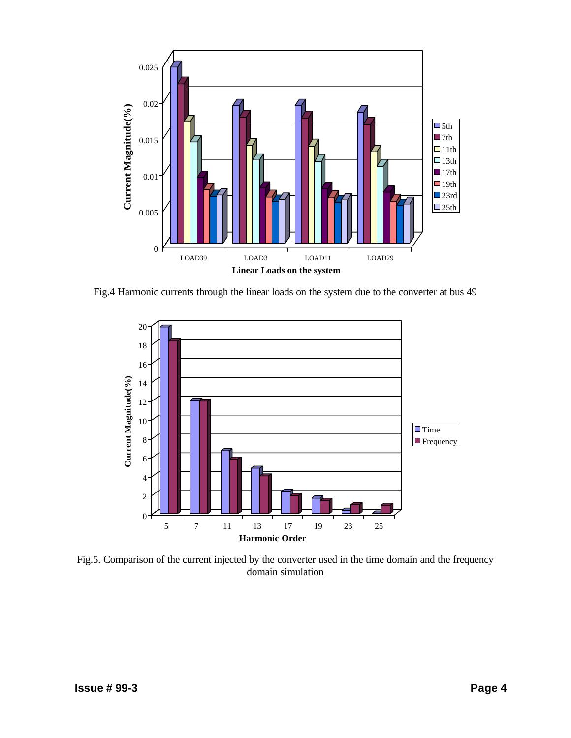

Fig.4 Harmonic currents through the linear loads on the system due to the converter at bus 49



Fig.5. Comparison of the current injected by the converter used in the time domain and the frequency domain simulation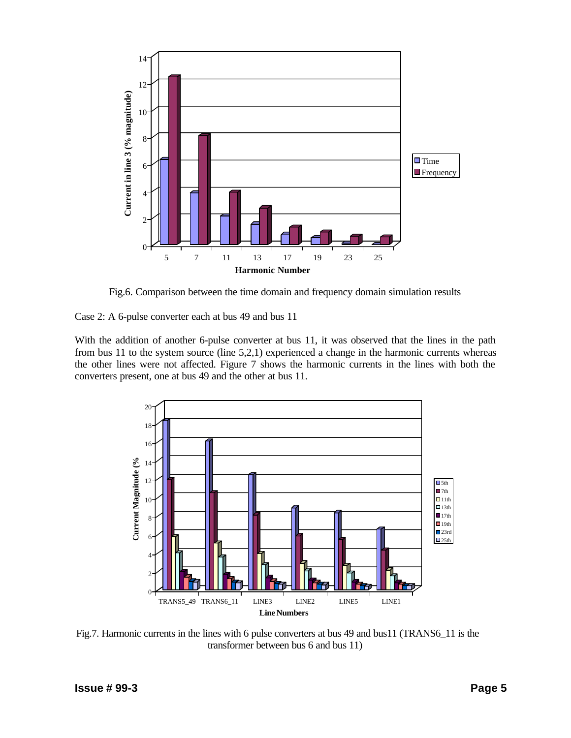

Fig.6. Comparison between the time domain and frequency domain simulation results

Case 2: A 6-pulse converter each at bus 49 and bus 11

With the addition of another 6-pulse converter at bus 11, it was observed that the lines in the path from bus 11 to the system source (line 5,2,1) experienced a change in the harmonic currents whereas the other lines were not affected. Figure 7 shows the harmonic currents in the lines with both the converters present, one at bus 49 and the other at bus 11.



Fig.7. Harmonic currents in the lines with 6 pulse converters at bus 49 and bus11 (TRANS6\_11 is the transformer between bus 6 and bus 11)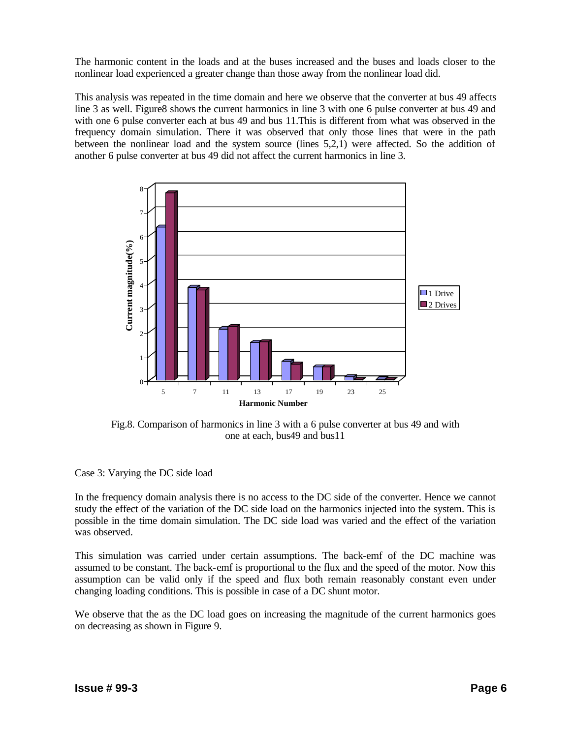The harmonic content in the loads and at the buses increased and the buses and loads closer to the nonlinear load experienced a greater change than those away from the nonlinear load did.

This analysis was repeated in the time domain and here we observe that the converter at bus 49 affects line 3 as well. Figure8 shows the current harmonics in line 3 with one 6 pulse converter at bus 49 and with one 6 pulse converter each at bus 49 and bus 11.This is different from what was observed in the frequency domain simulation. There it was observed that only those lines that were in the path between the nonlinear load and the system source (lines 5,2,1) were affected. So the addition of another 6 pulse converter at bus 49 did not affect the current harmonics in line 3.



Fig.8. Comparison of harmonics in line 3 with a 6 pulse converter at bus 49 and with one at each, bus49 and bus11

Case 3: Varying the DC side load

In the frequency domain analysis there is no access to the DC side of the converter. Hence we cannot study the effect of the variation of the DC side load on the harmonics injected into the system. This is possible in the time domain simulation. The DC side load was varied and the effect of the variation was observed.

This simulation was carried under certain assumptions. The back-emf of the DC machine was assumed to be constant. The back-emf is proportional to the flux and the speed of the motor. Now this assumption can be valid only if the speed and flux both remain reasonably constant even under changing loading conditions. This is possible in case of a DC shunt motor.

We observe that the as the DC load goes on increasing the magnitude of the current harmonics goes on decreasing as shown in Figure 9.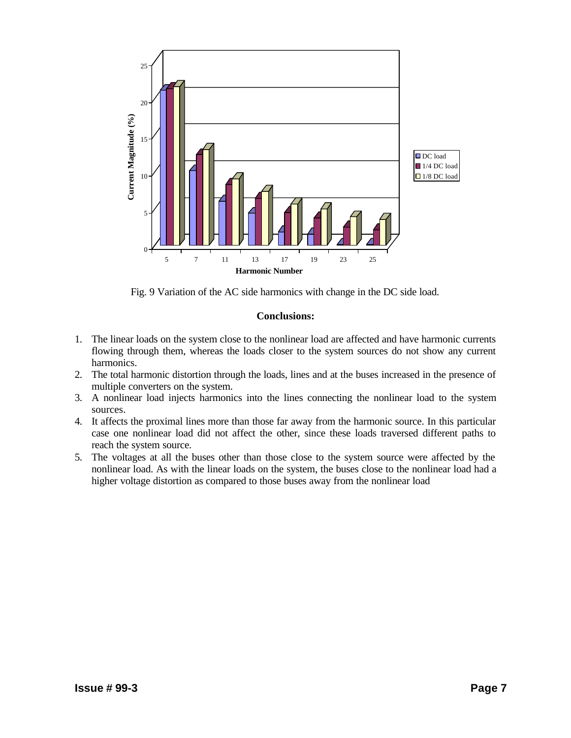

Fig. 9 Variation of the AC side harmonics with change in the DC side load.

#### **Conclusions:**

- 1. The linear loads on the system close to the nonlinear load are affected and have harmonic currents flowing through them, whereas the loads closer to the system sources do not show any current harmonics.
- 2. The total harmonic distortion through the loads, lines and at the buses increased in the presence of multiple converters on the system.
- 3. A nonlinear load injects harmonics into the lines connecting the nonlinear load to the system sources.
- 4. It affects the proximal lines more than those far away from the harmonic source. In this particular case one nonlinear load did not affect the other, since these loads traversed different paths to reach the system source.
- 5. The voltages at all the buses other than those close to the system source were affected by the nonlinear load. As with the linear loads on the system, the buses close to the nonlinear load had a higher voltage distortion as compared to those buses away from the nonlinear load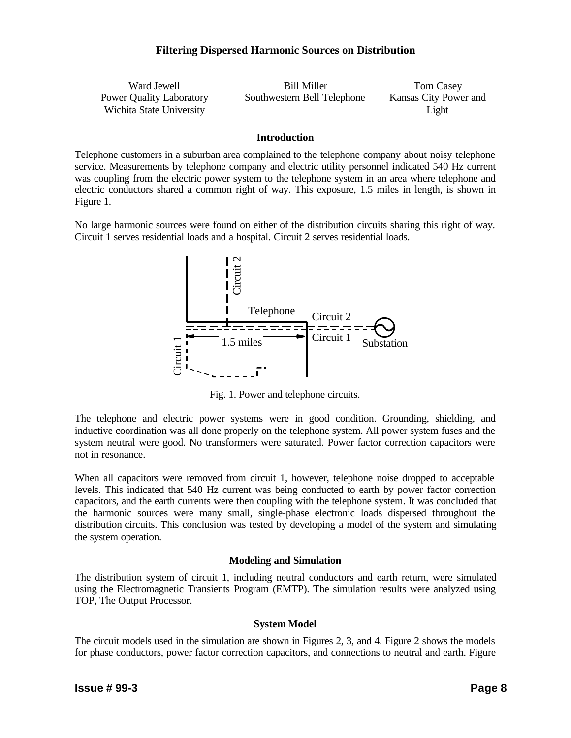| Ward Jewell                     | Bill Miller                 | Tom Casey             |
|---------------------------------|-----------------------------|-----------------------|
| <b>Power Quality Laboratory</b> | Southwestern Bell Telephone | Kansas City Power and |
| Wichita State University        |                             | Light                 |

#### **Introduction**

Telephone customers in a suburban area complained to the telephone company about noisy telephone service. Measurements by telephone company and electric utility personnel indicated 540 Hz current was coupling from the electric power system to the telephone system in an area where telephone and electric conductors shared a common right of way. This exposure, 1.5 miles in length, is shown in Figure 1.

No large harmonic sources were found on either of the distribution circuits sharing this right of way. Circuit 1 serves residential loads and a hospital. Circuit 2 serves residential loads.



Fig. 1. Power and telephone circuits.

The telephone and electric power systems were in good condition. Grounding, shielding, and inductive coordination was all done properly on the telephone system. All power system fuses and the system neutral were good. No transformers were saturated. Power factor correction capacitors were not in resonance.

When all capacitors were removed from circuit 1, however, telephone noise dropped to acceptable levels. This indicated that 540 Hz current was being conducted to earth by power factor correction capacitors, and the earth currents were then coupling with the telephone system. It was concluded that the harmonic sources were many small, single-phase electronic loads dispersed throughout the distribution circuits. This conclusion was tested by developing a model of the system and simulating the system operation.

#### **Modeling and Simulation**

The distribution system of circuit 1, including neutral conductors and earth return, were simulated using the Electromagnetic Transients Program (EMTP). The simulation results were analyzed using TOP, The Output Processor.

#### **System Model**

The circuit models used in the simulation are shown in Figures 2, 3, and 4. Figure 2 shows the models for phase conductors, power factor correction capacitors, and connections to neutral and earth. Figure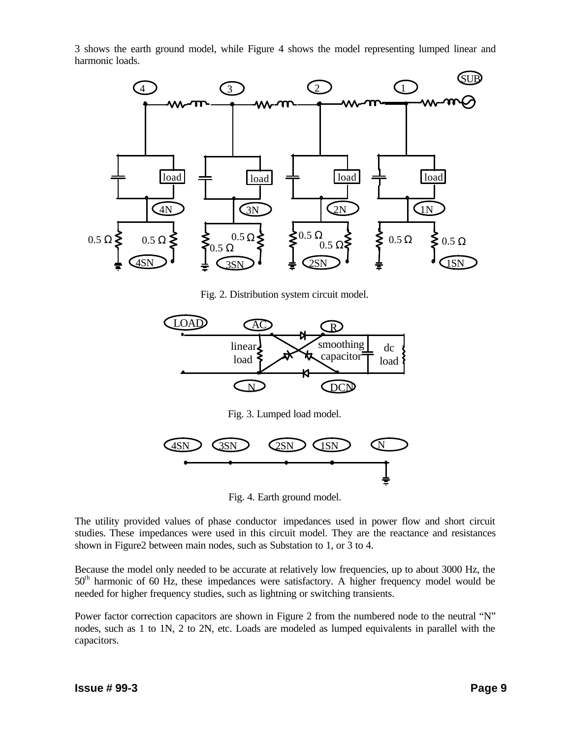3 shows the earth ground model, while Figure 4 shows the model representing lumped linear and harmonic loads.



Fig. 2. Distribution system circuit model.



Fig. 3. Lumped load model.



Fig. 4. Earth ground model.

The utility provided values of phase conductor impedances used in power flow and short circuit studies. These impedances were used in this circuit model. They are the reactance and resistances shown in Figure2 between main nodes, such as Substation to 1, or 3 to 4.

Because the model only needed to be accurate at relatively low frequencies, up to about 3000 Hz, the  $50<sup>th</sup>$  harmonic of 60 Hz, these impedances were satisfactory. A higher frequency model would be needed for higher frequency studies, such as lightning or switching transients.

Power factor correction capacitors are shown in Figure 2 from the numbered node to the neutral "N" nodes, such as 1 to 1N, 2 to 2N, etc. Loads are modeled as lumped equivalents in parallel with the capacitors.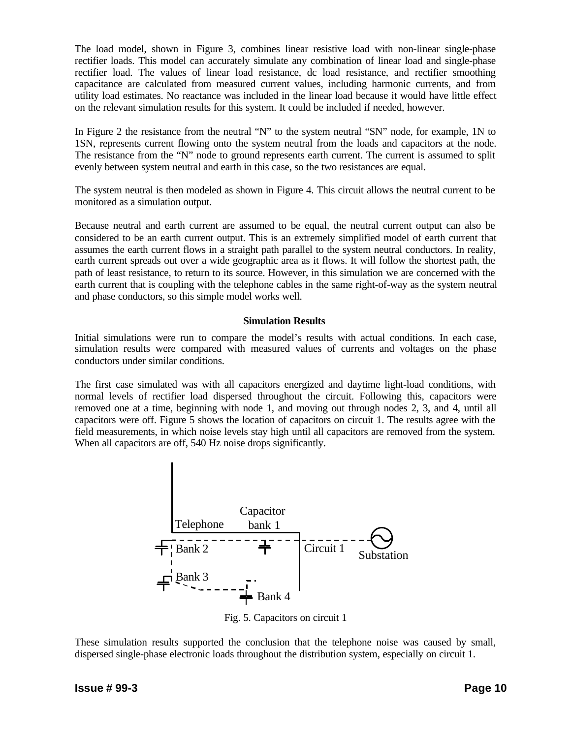The load model, shown in Figure 3, combines linear resistive load with non-linear single-phase rectifier loads. This model can accurately simulate any combination of linear load and single-phase rectifier load. The values of linear load resistance, dc load resistance, and rectifier smoothing capacitance are calculated from measured current values, including harmonic currents, and from utility load estimates. No reactance was included in the linear load because it would have little effect on the relevant simulation results for this system. It could be included if needed, however.

In Figure 2 the resistance from the neutral "N" to the system neutral "SN" node, for example, 1N to 1SN, represents current flowing onto the system neutral from the loads and capacitors at the node. The resistance from the "N" node to ground represents earth current. The current is assumed to split evenly between system neutral and earth in this case, so the two resistances are equal.

The system neutral is then modeled as shown in Figure 4. This circuit allows the neutral current to be monitored as a simulation output.

Because neutral and earth current are assumed to be equal, the neutral current output can also be considered to be an earth current output. This is an extremely simplified model of earth current that assumes the earth current flows in a straight path parallel to the system neutral conductors. In reality, earth current spreads out over a wide geographic area as it flows. It will follow the shortest path, the path of least resistance, to return to its source. However, in this simulation we are concerned with the earth current that is coupling with the telephone cables in the same right-of-way as the system neutral and phase conductors, so this simple model works well.

#### **Simulation Results**

Initial simulations were run to compare the model's results with actual conditions. In each case, simulation results were compared with measured values of currents and voltages on the phase conductors under similar conditions.

The first case simulated was with all capacitors energized and daytime light-load conditions, with normal levels of rectifier load dispersed throughout the circuit. Following this, capacitors were removed one at a time, beginning with node 1, and moving out through nodes 2, 3, and 4, until all capacitors were off. Figure 5 shows the location of capacitors on circuit 1. The results agree with the field measurements, in which noise levels stay high until all capacitors are removed from the system. When all capacitors are off, 540 Hz noise drops significantly.



Fig. 5. Capacitors on circuit 1

These simulation results supported the conclusion that the telephone noise was caused by small, dispersed single-phase electronic loads throughout the distribution system, especially on circuit 1.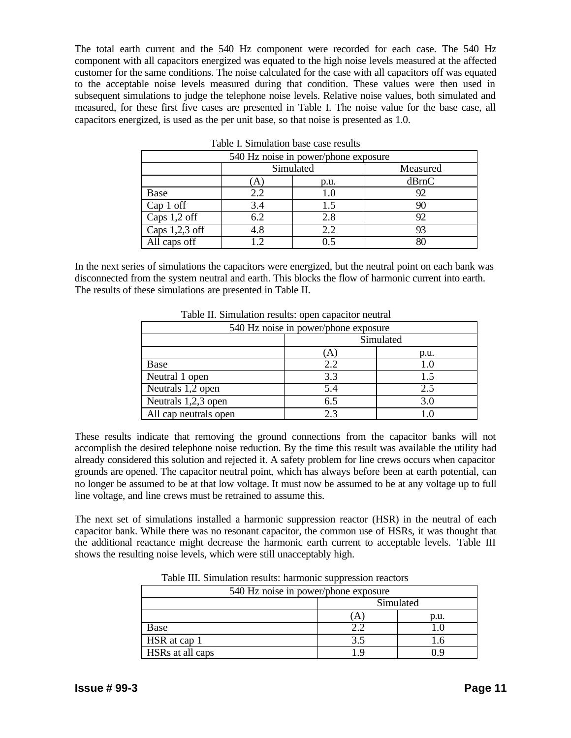The total earth current and the 540 Hz component were recorded for each case. The 540 Hz component with all capacitors energized was equated to the high noise levels measured at the affected customer for the same conditions. The noise calculated for the case with all capacitors off was equated to the acceptable noise levels measured during that condition. These values were then used in subsequent simulations to judge the telephone noise levels. Relative noise values, both simulated and measured, for these first five cases are presented in Table I. The noise value for the base case, all capacitors energized, is used as the per unit base, so that noise is presented as 1.0.

| 540 Hz noise in power/phone exposure |            |           |          |  |  |
|--------------------------------------|------------|-----------|----------|--|--|
|                                      |            | Simulated | Measured |  |  |
|                                      | A)         | p.u.      | dBrnC    |  |  |
| Base                                 | 2.2        | 1.0       | 92       |  |  |
| $Cap 1$ off                          | 3.4        | 1.5       | 90       |  |  |
| Caps 1,2 off                         | 6.2        | 2.8       | 92       |  |  |
| Caps $1,2,3$ off                     | 4.8        | 2.2       | 93       |  |  |
| All caps off                         | $\bigcirc$ | 0.5       | 81       |  |  |

Table I. Simulation base case results

In the next series of simulations the capacitors were energized, but the neutral point on each bank was disconnected from the system neutral and earth. This blocks the flow of harmonic current into earth. The results of these simulations are presented in Table II.

| 540 Hz noise in power/phone exposure |           |     |  |  |  |  |  |
|--------------------------------------|-----------|-----|--|--|--|--|--|
|                                      | Simulated |     |  |  |  |  |  |
| $\mathbf{A}$<br>p.u.                 |           |     |  |  |  |  |  |
| Base                                 | 2.2       |     |  |  |  |  |  |
| Neutral 1 open                       | 3.3       |     |  |  |  |  |  |
| Neutrals 1,2 open                    | 5.4       | 2.5 |  |  |  |  |  |
| Neutrals 1,2,3 open                  | 6.5       | 3.0 |  |  |  |  |  |
| All cap neutrals open                | 2.3       |     |  |  |  |  |  |

Table II. Simulation results: open capacitor neutral

These results indicate that removing the ground connections from the capacitor banks will not accomplish the desired telephone noise reduction. By the time this result was available the utility had already considered this solution and rejected it. A safety problem for line crews occurs when capacitor grounds are opened. The capacitor neutral point, which has always before been at earth potential, can no longer be assumed to be at that low voltage. It must now be assumed to be at any voltage up to full line voltage, and line crews must be retrained to assume this.

The next set of simulations installed a harmonic suppression reactor (HSR) in the neutral of each capacitor bank. While there was no resonant capacitor, the common use of HSRs, it was thought that the additional reactance might decrease the harmonic earth current to acceptable levels. Table III shows the resulting noise levels, which were still unacceptably high.

| 540 Hz noise in power/phone exposure |           |  |  |  |  |  |
|--------------------------------------|-----------|--|--|--|--|--|
| Simulated                            |           |  |  |  |  |  |
|                                      | p.u.<br>Α |  |  |  |  |  |
| Base                                 |           |  |  |  |  |  |
| HSR at cap 1                         | 3.5       |  |  |  |  |  |
| HSRs at all caps                     |           |  |  |  |  |  |

Table III. Simulation results: harmonic suppression reactors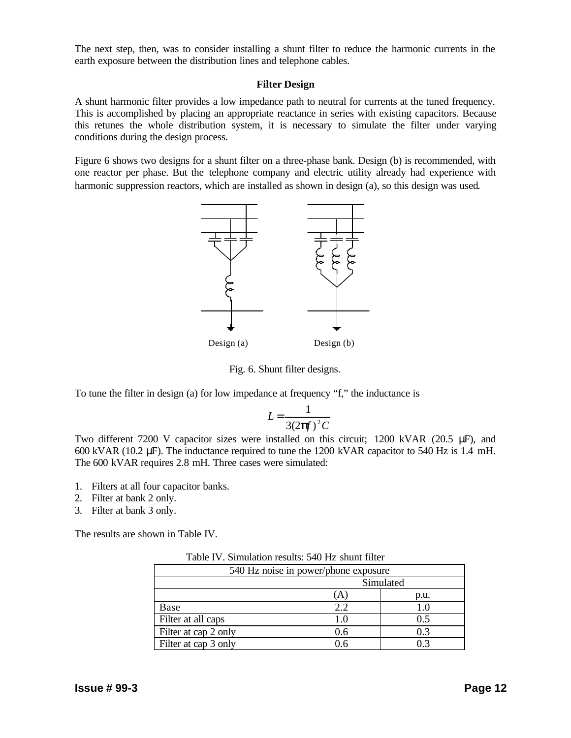The next step, then, was to consider installing a shunt filter to reduce the harmonic currents in the earth exposure between the distribution lines and telephone cables.

#### **Filter Design**

A shunt harmonic filter provides a low impedance path to neutral for currents at the tuned frequency. This is accomplished by placing an appropriate reactance in series with existing capacitors. Because this retunes the whole distribution system, it is necessary to simulate the filter under varying conditions during the design process.

Figure 6 shows two designs for a shunt filter on a three-phase bank. Design (b) is recommended, with one reactor per phase. But the telephone company and electric utility already had experience with harmonic suppression reactors, which are installed as shown in design (a), so this design was used.



Fig. 6. Shunt filter designs.

To tune the filter in design (a) for low impedance at frequency "f," the inductance is

$$
L = \frac{1}{3(2\boldsymbol{p}f)^2 C}
$$

Two different 7200 V capacitor sizes were installed on this circuit; 1200 kVAR (20.5 μF), and 600 kVAR (10.2 μF). The inductance required to tune the 1200 kVAR capacitor to 540 Hz is 1.4 mH. The 600 kVAR requires 2.8 mH. Three cases were simulated:

- 1. Filters at all four capacitor banks.
- 2. Filter at bank 2 only.
- 3. Filter at bank 3 only.

The results are shown in Table IV.

Table IV. Simulation results: 540 Hz shunt filter

| 540 Hz noise in power/phone exposure |     |     |  |  |  |  |
|--------------------------------------|-----|-----|--|--|--|--|
| Simulated                            |     |     |  |  |  |  |
| p.u.<br>$\overline{A}$               |     |     |  |  |  |  |
| Base                                 | 2.2 |     |  |  |  |  |
| Filter at all caps                   | 1.0 | 0.5 |  |  |  |  |
| Filter at cap 2 only                 | 0.6 | 0.3 |  |  |  |  |
| Filter at cap 3 only                 | Ი Რ |     |  |  |  |  |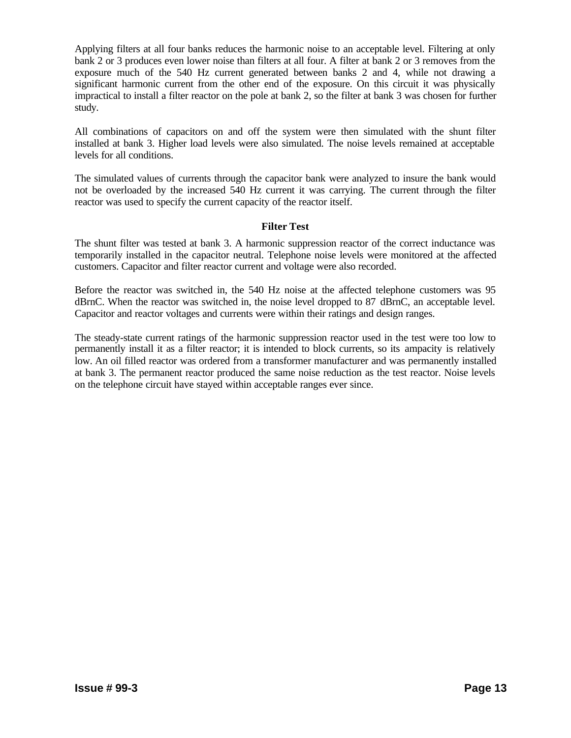Applying filters at all four banks reduces the harmonic noise to an acceptable level. Filtering at only bank 2 or 3 produces even lower noise than filters at all four. A filter at bank 2 or 3 removes from the exposure much of the 540 Hz current generated between banks 2 and 4, while not drawing a significant harmonic current from the other end of the exposure. On this circuit it was physically impractical to install a filter reactor on the pole at bank 2, so the filter at bank 3 was chosen for further study.

All combinations of capacitors on and off the system were then simulated with the shunt filter installed at bank 3. Higher load levels were also simulated. The noise levels remained at acceptable levels for all conditions.

The simulated values of currents through the capacitor bank were analyzed to insure the bank would not be overloaded by the increased 540 Hz current it was carrying. The current through the filter reactor was used to specify the current capacity of the reactor itself.

#### **Filter Test**

The shunt filter was tested at bank 3. A harmonic suppression reactor of the correct inductance was temporarily installed in the capacitor neutral. Telephone noise levels were monitored at the affected customers. Capacitor and filter reactor current and voltage were also recorded.

Before the reactor was switched in, the 540 Hz noise at the affected telephone customers was 95 dBrnC. When the reactor was switched in, the noise level dropped to 87 dBrnC, an acceptable level. Capacitor and reactor voltages and currents were within their ratings and design ranges.

The steady-state current ratings of the harmonic suppression reactor used in the test were too low to permanently install it as a filter reactor; it is intended to block currents, so its ampacity is relatively low. An oil filled reactor was ordered from a transformer manufacturer and was permanently installed at bank 3. The permanent reactor produced the same noise reduction as the test reactor. Noise levels on the telephone circuit have stayed within acceptable ranges ever since.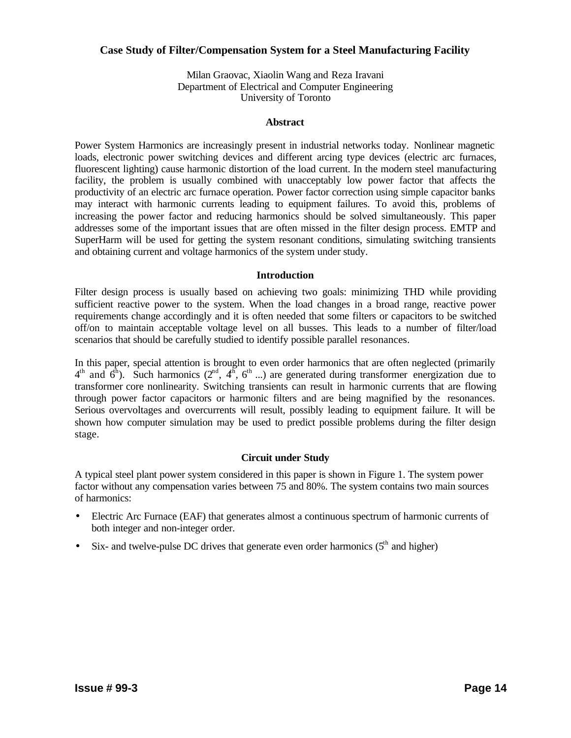## **Case Study of Filter/Compensation System for a Steel Manufacturing Facility**

Milan Graovac, Xiaolin Wang and Reza Iravani Department of Electrical and Computer Engineering University of Toronto

#### **Abstract**

Power System Harmonics are increasingly present in industrial networks today. Nonlinear magnetic loads, electronic power switching devices and different arcing type devices (electric arc furnaces, fluorescent lighting) cause harmonic distortion of the load current. In the modern steel manufacturing facility, the problem is usually combined with unacceptably low power factor that affects the productivity of an electric arc furnace operation. Power factor correction using simple capacitor banks may interact with harmonic currents leading to equipment failures. To avoid this, problems of increasing the power factor and reducing harmonics should be solved simultaneously. This paper addresses some of the important issues that are often missed in the filter design process. EMTP and SuperHarm will be used for getting the system resonant conditions, simulating switching transients and obtaining current and voltage harmonics of the system under study.

#### **Introduction**

Filter design process is usually based on achieving two goals: minimizing THD while providing sufficient reactive power to the system. When the load changes in a broad range, reactive power requirements change accordingly and it is often needed that some filters or capacitors to be switched off/on to maintain acceptable voltage level on all busses. This leads to a number of filter/load scenarios that should be carefully studied to identify possible parallel resonances.

In this paper, special attention is brought to even order harmonics that are often neglected (primarily  $4<sup>th</sup>$  and  $6<sup>th</sup>$ ). Such harmonics ( $2<sup>nd</sup>$ ,  $4<sup>th</sup>$ ,  $6<sup>th</sup>$  ...) are generated during transformer energization due to transformer core nonlinearity. Switching transients can result in harmonic currents that are flowing through power factor capacitors or harmonic filters and are being magnified by the resonances. Serious overvoltages and overcurrents will result, possibly leading to equipment failure. It will be shown how computer simulation may be used to predict possible problems during the filter design stage.

#### **Circuit under Study**

A typical steel plant power system considered in this paper is shown in Figure 1. The system power factor without any compensation varies between 75 and 80%. The system contains two main sources of harmonics:

- Electric Arc Furnace (EAF) that generates almost a continuous spectrum of harmonic currents of both integer and non-integer order.
- Six- and twelve-pulse DC drives that generate even order harmonics  $(5<sup>th</sup>$  and higher)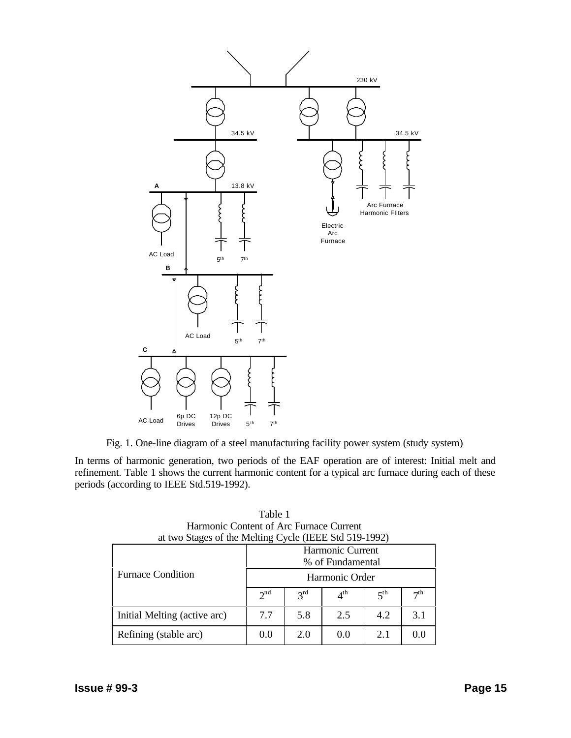

Fig. 1. One-line diagram of a steel manufacturing facility power system (study system)

In terms of harmonic generation, two periods of the EAF operation are of interest: Initial melt and refinement. Table 1 shows the current harmonic content for a typical arc furnace during each of these periods (according to IEEE Std.519-1992).

| at two Stages of the Melting Cycle (IEEE Std 519-1992) |                  |                 |                 |                 |                 |  |
|--------------------------------------------------------|------------------|-----------------|-----------------|-----------------|-----------------|--|
|                                                        | Harmonic Current |                 |                 |                 |                 |  |
|                                                        | % of Fundamental |                 |                 |                 |                 |  |
| <b>Furnace Condition</b>                               | Harmonic Order   |                 |                 |                 |                 |  |
|                                                        | 2 <sup>nd</sup>  | 3 <sup>rd</sup> | $4^{\text{th}}$ | 5 <sup>th</sup> | 7 <sup>th</sup> |  |
| Initial Melting (active arc)                           | 7.7              | 5.8             | 2.5             | 4.2             | 3 <sub>1</sub>  |  |
| Refining (stable arc)                                  | (0.0)            | 2.0             | (0.0)           | 2.1             | $^{\prime}$     |  |

| Table 1                                             |
|-----------------------------------------------------|
| Harmonic Content of Arc Furnace Current             |
| t two Stages of the Melting Cycle (IEEE Std 519-199 |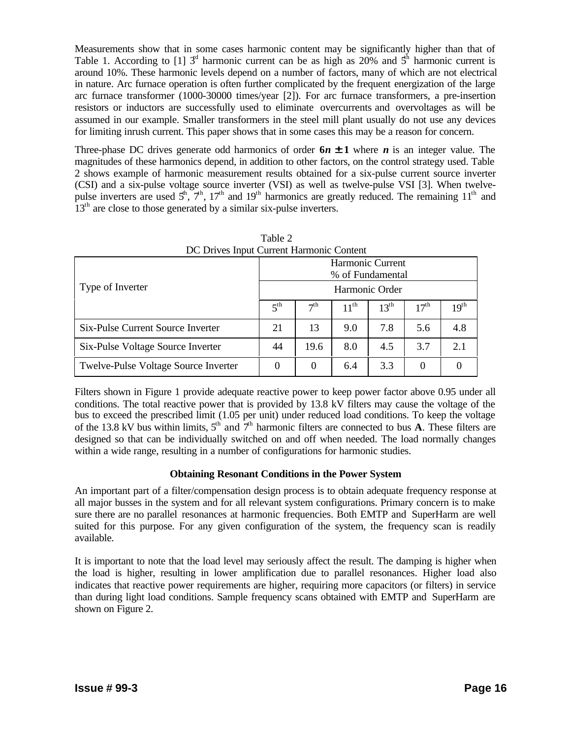Measurements show that in some cases harmonic content may be significantly higher than that of Table 1. According to [1]  $3<sup>d</sup>$  harmonic current can be as high as 20% and  $5<sup>h</sup>$  harmonic current is around 10%. These harmonic levels depend on a number of factors, many of which are not electrical in nature. Arc furnace operation is often further complicated by the frequent energization of the large arc furnace transformer (1000-30000 times/year [2]). For arc furnace transformers, a pre-insertion resistors or inductors are successfully used to eliminate overcurrents and overvoltages as will be assumed in our example. Smaller transformers in the steel mill plant usually do not use any devices for limiting inrush current. This paper shows that in some cases this may be a reason for concern.

Three-phase DC drives generate odd harmonics of order  $6n \pm 1$  where *n* is an integer value. The magnitudes of these harmonics depend, in addition to other factors, on the control strategy used. Table 2 shows example of harmonic measurement results obtained for a six-pulse current source inverter (CSI) and a six-pulse voltage source inverter (VSI) as well as twelve-pulse VSI [3]. When twelvepulse inverters are used  $5^h$ ,  $7^h$ ,  $17^h$  and  $19^h$  harmonics are greatly reduced. The remaining  $11^h$  and 13<sup>th</sup> are close to those generated by a similar six-pulse inverters.

| DC Drives Input Current Harmonic Content |                  |                 |                  |           |                  |                  |
|------------------------------------------|------------------|-----------------|------------------|-----------|------------------|------------------|
|                                          | Harmonic Current |                 |                  |           |                  |                  |
|                                          | % of Fundamental |                 |                  |           |                  |                  |
| Type of Inverter                         | Harmonic Order   |                 |                  |           |                  |                  |
|                                          | $5^{\text{th}}$  | 7 <sup>th</sup> | $11^{\text{th}}$ | $13^{th}$ | 17 <sup>th</sup> | 19 <sup>th</sup> |
| Six-Pulse Current Source Inverter        | 21               | 13              | 9.0              | 7.8       | 5.6              | 4.8              |
| Six-Pulse Voltage Source Inverter        | 44               | 19.6            | 8.0              | 4.5       | 3.7              | 2.1              |
| Twelve-Pulse Voltage Source Inverter     | 0                | 0               | 6.4              | 3.3       | 0                | $\theta$         |

Table 2 DC Drives Input Current Harmonic Content

Filters shown in Figure 1 provide adequate reactive power to keep power factor above 0.95 under all conditions. The total reactive power that is provided by 13.8 kV filters may cause the voltage of the bus to exceed the prescribed limit (1.05 per unit) under reduced load conditions. To keep the voltage of the 13.8 kV bus within limits,  $5<sup>th</sup>$  and  $7<sup>th</sup>$  harmonic filters are connected to bus **A**. These filters are designed so that can be individually switched on and off when needed. The load normally changes within a wide range, resulting in a number of configurations for harmonic studies.

# **Obtaining Resonant Conditions in the Power System**

An important part of a filter/compensation design process is to obtain adequate frequency response at all major busses in the system and for all relevant system configurations. Primary concern is to make sure there are no parallel resonances at harmonic frequencies. Both EMTP and SuperHarm are well suited for this purpose. For any given configuration of the system, the frequency scan is readily available.

It is important to note that the load level may seriously affect the result. The damping is higher when the load is higher, resulting in lower amplification due to parallel resonances. Higher load also indicates that reactive power requirements are higher, requiring more capacitors (or filters) in service than during light load conditions. Sample frequency scans obtained with EMTP and SuperHarm are shown on Figure 2.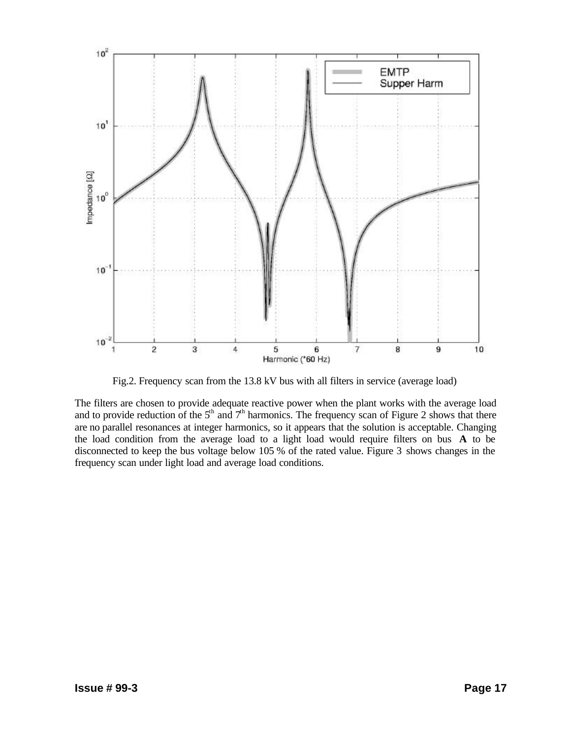

Fig.2. Frequency scan from the 13.8 kV bus with all filters in service (average load)

The filters are chosen to provide adequate reactive power when the plant works with the average load and to provide reduction of the  $5<sup>th</sup>$  and  $7<sup>th</sup>$  harmonics. The frequency scan of Figure 2 shows that there are no parallel resonances at integer harmonics, so it appears that the solution is acceptable. Changing the load condition from the average load to a light load would require filters on bus **A** to be disconnected to keep the bus voltage below 105 % of the rated value. Figure 3 shows changes in the frequency scan under light load and average load conditions.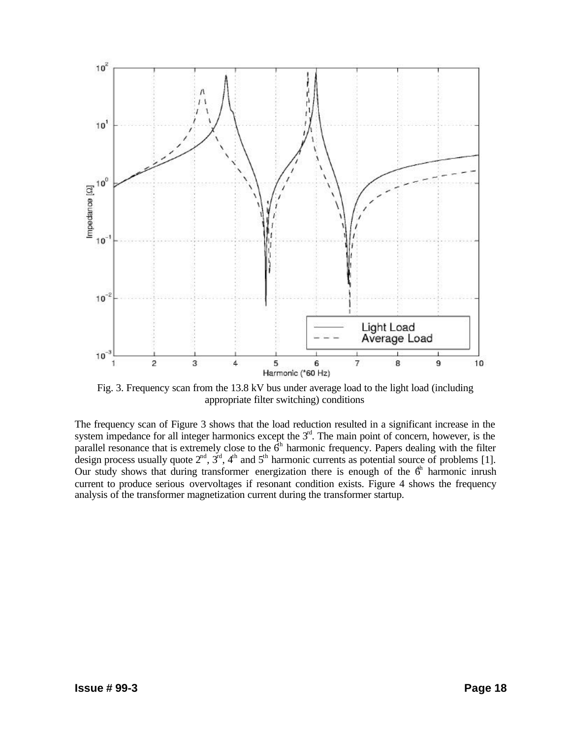

Fig. 3. Frequency scan from the 13.8 kV bus under average load to the light load (including appropriate filter switching) conditions

The frequency scan of Figure 3 shows that the load reduction resulted in a significant increase in the system impedance for all integer harmonics except the  $3<sup>rd</sup>$ . The main point of concern, however, is the parallel resonance that is extremely close to the  $\hat{6}^h$  harmonic frequency. Papers dealing with the filter design process usually quote  $2^{nd}$ ,  $3^{rd}$ ,  $4^{th}$  and  $5^{th}$  harmonic currents as potential source of problems [1]. Our study shows that during transformer energization there is enough of the  $6<sup>th</sup>$  harmonic inrush current to produce serious overvoltages if resonant condition exists. Figure 4 shows the frequency analysis of the transformer magnetization current during the transformer startup.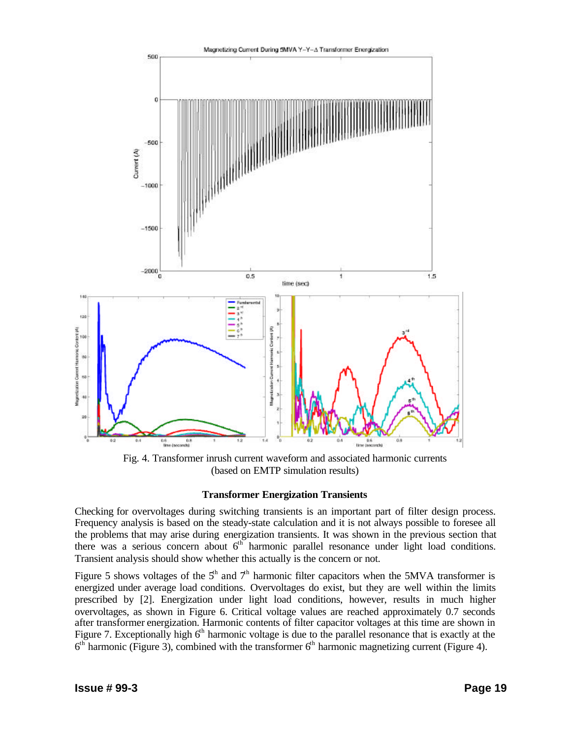

Fig. 4. Transformer inrush current waveform and associated harmonic currents (based on EMTP simulation results)

#### **Transformer Energization Transients**

Checking for overvoltages during switching transients is an important part of filter design process. Frequency analysis is based on the steady-state calculation and it is not always possible to foresee all the problems that may arise during energization transients. It was shown in the previous section that there was a serious concern about  $6<sup>th</sup>$  harmonic parallel resonance under light load conditions. Transient analysis should show whether this actually is the concern or not.

Figure 5 shows voltages of the  $5<sup>th</sup>$  and  $7<sup>th</sup>$  harmonic filter capacitors when the 5MVA transformer is energized under average load conditions. Overvoltages do exist, but they are well within the limits prescribed by [2]. Energization under light load conditions, however, results in much higher overvoltages, as shown in Figure 6. Critical voltage values are reached approximately 0.7 seconds after transformer energization. Harmonic contents of filter capacitor voltages at this time are shown in Figure 7. Exceptionally high  $6<sup>th</sup>$  harmonic voltage is due to the parallel resonance that is exactly at the  $6<sup>th</sup>$  harmonic (Figure 3), combined with the transformer  $6<sup>th</sup>$  harmonic magnetizing current (Figure 4).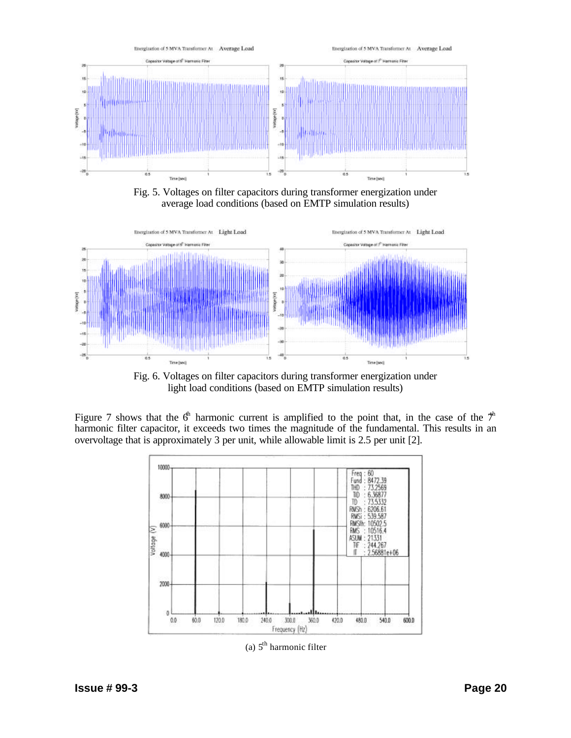

Fig. 5. Voltages on filter capacitors during transformer energization under average load conditions (based on EMTP simulation results)



Fig. 6. Voltages on filter capacitors during transformer energization under light load conditions (based on EMTP simulation results)

Figure 7 shows that the  $6<sup>th</sup>$  harmonic current is amplified to the point that, in the case of the  $7<sup>th</sup>$ harmonic filter capacitor, it exceeds two times the magnitude of the fundamental. This results in an overvoltage that is approximately 3 per unit, while allowable limit is 2.5 per unit [2].



(a)  $5<sup>th</sup>$  harmonic filter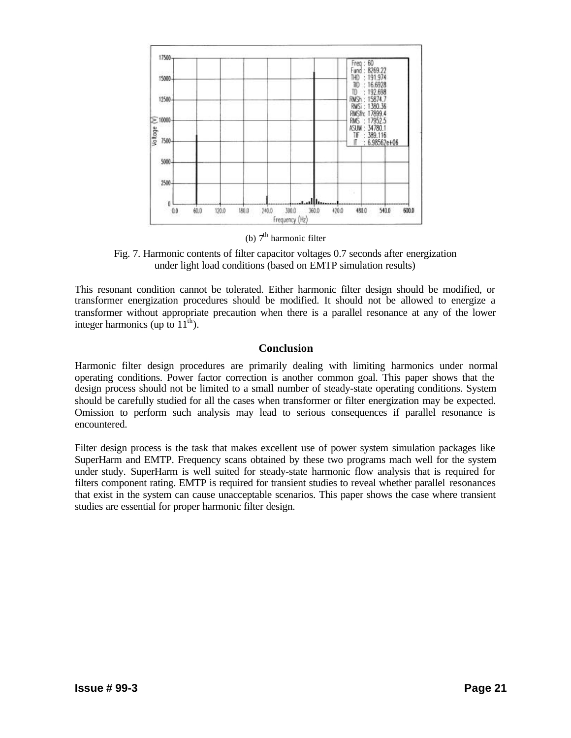

(b)  $7<sup>th</sup>$  harmonic filter

Fig. 7. Harmonic contents of filter capacitor voltages 0.7 seconds after energization under light load conditions (based on EMTP simulation results)

This resonant condition cannot be tolerated. Either harmonic filter design should be modified, or transformer energization procedures should be modified. It should not be allowed to energize a transformer without appropriate precaution when there is a parallel resonance at any of the lower integer harmonics (up to  $11<sup>th</sup>$ ).

## **Conclusion**

Harmonic filter design procedures are primarily dealing with limiting harmonics under normal operating conditions. Power factor correction is another common goal. This paper shows that the design process should not be limited to a small number of steady-state operating conditions. System should be carefully studied for all the cases when transformer or filter energization may be expected. Omission to perform such analysis may lead to serious consequences if parallel resonance is encountered.

Filter design process is the task that makes excellent use of power system simulation packages like SuperHarm and EMTP. Frequency scans obtained by these two programs mach well for the system under study. SuperHarm is well suited for steady-state harmonic flow analysis that is required for filters component rating. EMTP is required for transient studies to reveal whether parallel resonances that exist in the system can cause unacceptable scenarios. This paper shows the case where transient studies are essential for proper harmonic filter design.